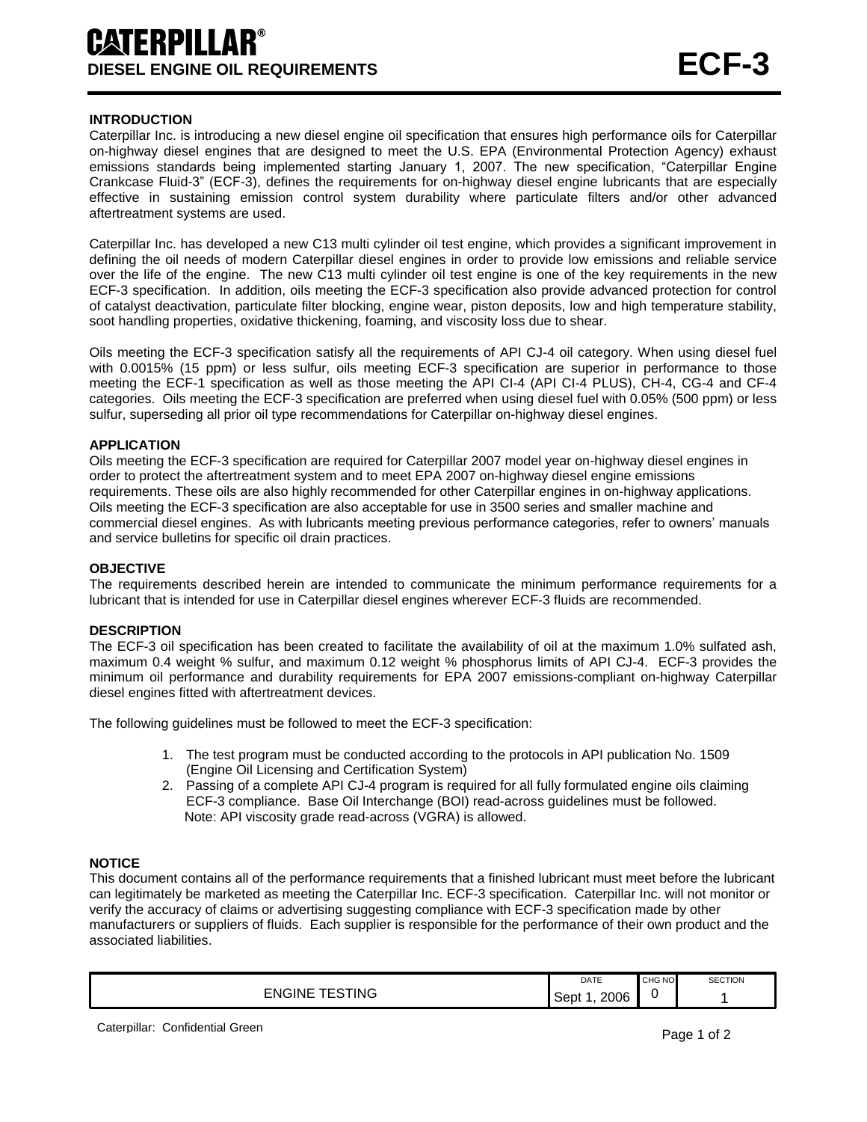## **CATFRPII I AR® DIESEL ENGINE OIL REQUIREMENTS ECF-3**

### **INTRODUCTION**

Caterpillar Inc. is introducing a new diesel engine oil specification that ensures high performance oils for Caterpillar on-highway diesel engines that are designed to meet the U.S. EPA (Environmental Protection Agency) exhaust emissions standards being implemented starting January 1, 2007. The new specification, "Caterpillar Engine Crankcase Fluid-3"(ECF-3), defines the requirements for on-highway diesel engine lubricants that are especially effective in sustaining emission control system durability where particulate filters and/or other advanced aftertreatment systems are used.

Caterpillar Inc. has developed a new C13 multi cylinder oil test engine, which provides a significant improvement in defining the oil needs of modern Caterpillar diesel engines in order to provide low emissions and reliable service over the life of the engine. The new C13 multi cylinder oil test engine is one of the key requirements in the new ECF-3 specification. In addition, oils meeting the ECF-3 specification also provide advanced protection for control of catalyst deactivation, particulate filter blocking, engine wear, piston deposits, low and high temperature stability, soot handling properties, oxidative thickening, foaming, and viscosity loss due to shear.

Oils meeting the ECF-3 specification satisfy all the requirements of API CJ-4 oil category. When using diesel fuel with 0.0015% (15 ppm) or less sulfur, oils meeting ECF-3 specification are superior in performance to those meeting the ECF-1 specification as well as those meeting the API CI-4 (API CI-4 PLUS), CH-4, CG-4 and CF-4 categories. Oils meeting the ECF-3 specification are preferred when using diesel fuel with 0.05% (500 ppm) or less sulfur, superseding all prior oil type recommendations for Caterpillar on-highway diesel engines.

### **APPLICATION**

Oils meeting the ECF-3 specification are required for Caterpillar 2007 model year on-highway diesel engines in order to protect the aftertreatment system and to meet EPA 2007 on-highway diesel engine emissions requirements. These oils are also highly recommended for other Caterpillar engines in on-highway applications. Oils meeting the ECF-3 specification are also acceptable for use in 3500 series and smaller machine and commercial diesel engines. As with lubricants meeting previous performance categories, refer to owners' manuals and service bulletins for specific oil drain practices.

### **OBJECTIVE**

The requirements described herein are intended to communicate the minimum performance requirements for a lubricant that is intended for use in Caterpillar diesel engines wherever ECF-3 fluids are recommended.

### **DESCRIPTION**

The ECF-3 oil specification has been created to facilitate the availability of oil at the maximum 1.0% sulfated ash, maximum 0.4 weight % sulfur, and maximum 0.12 weight % phosphorus limits of API CJ-4. ECF-3 provides the minimum oil performance and durability requirements for EPA 2007 emissions-compliant on-highway Caterpillar diesel engines fitted with aftertreatment devices.

The following guidelines must be followed to meet the ECF-3 specification:

- 1. The test program must be conducted according to the protocols in API publication No. 1509 (Engine Oil Licensing and Certification System)
- 2. Passing of a complete API CJ-4 program is required for all fully formulated engine oils claiming ECF-3 compliance. Base Oil Interchange (BOI) read-across guidelines must be followed. Note: API viscosity grade read-across (VGRA) is allowed.

#### **NOTICE**

This document contains all of the performance requirements that a finished lubricant must meet before the lubricant can legitimately be marketed as meeting the Caterpillar Inc. ECF-3 specification. Caterpillar Inc. will not monitor or verify the accuracy of claims or advertising suggesting compliance with ECF-3 specification made by other manufacturers or suppliers of fluids. Each supplier is responsible for the performance of their own product and the associated liabilities.

|                                                                         | DATE         | CHG NO | <b>SECTION</b> |
|-------------------------------------------------------------------------|--------------|--------|----------------|
| STING<br>--<br>$\overline{\phantom{a}}$<br>FNGINE<br>$+$ $ -$<br>╌<br>. | 2006<br>Sept |        |                |